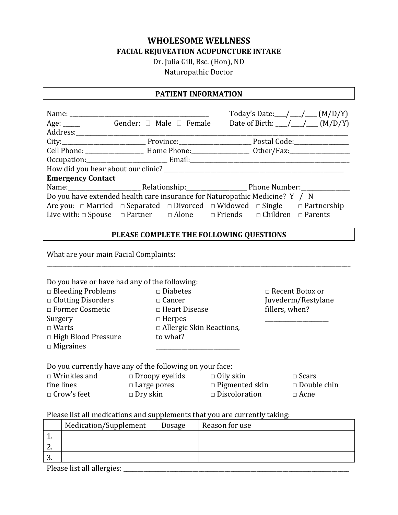# **WHOLESOME WELLNESS FACIAL REJUVEATION ACUPUNCTURE INTAKE**

Dr. Julia Gill, Bsc. (Hon), ND

Naturopathic Doctor

### **PATIENT INFORMATION**

|                                                                             |                                                                                                          |  |  | Today's Date: $\_\_\_\_\_\_\_\_\_\_\_\_\_\_$ (M/D/Y)  |
|-----------------------------------------------------------------------------|----------------------------------------------------------------------------------------------------------|--|--|-------------------------------------------------------|
|                                                                             | Age: _______ Gender: □ Male □ Female                                                                     |  |  | Date of Birth: $\_\_\_\_\_\_\_\_\_\_\_\_\_\_$ (M/D/Y) |
|                                                                             |                                                                                                          |  |  |                                                       |
|                                                                             |                                                                                                          |  |  |                                                       |
|                                                                             | Cell Phone: _______________________ Home Phone: __________________ Other/Fax: _____________________      |  |  |                                                       |
|                                                                             |                                                                                                          |  |  |                                                       |
|                                                                             |                                                                                                          |  |  |                                                       |
| <b>Emergency Contact</b>                                                    |                                                                                                          |  |  |                                                       |
|                                                                             |                                                                                                          |  |  |                                                       |
| Do you have extended health care insurance for Naturopathic Medicine? Y / N |                                                                                                          |  |  |                                                       |
|                                                                             | Are you: $\Box$ Married $\Box$ Separated $\Box$ Divorced $\Box$ Widowed $\Box$ Single $\Box$ Partnership |  |  |                                                       |
|                                                                             | Live with: $\Box$ Spouse $\Box$ Partner $\Box$ Alone $\Box$ Friends $\Box$ Children $\Box$ Parents       |  |  |                                                       |

### **PLEASE COMPLETE THE FOLLOWING QUESTIONS**

\_\_\_\_\_\_\_\_\_\_\_\_\_\_\_\_\_\_\_\_\_\_\_\_\_\_\_\_\_\_\_\_\_\_\_\_\_\_\_\_\_\_\_\_\_\_\_\_\_\_\_\_\_\_\_\_\_\_\_\_\_\_\_\_\_\_\_\_\_\_\_\_\_\_\_\_\_\_\_\_\_\_\_\_\_\_\_\_\_\_\_\_\_\_\_\_\_\_\_\_\_\_\_\_\_

What are your main Facial Complaints:

| $\Box$ Bleeding Problems   | $\square$ Diabetes              | $\Box$ Recent Botox or |
|----------------------------|---------------------------------|------------------------|
| $\Box$ Clotting Disorders  | $\Box$ Cancer                   | Juvederm/Restylane     |
| □ Former Cosmetic          | $\Box$ Heart Disease            | fillers, when?         |
| Surgery                    | $\Box$ Herpes                   |                        |
| $\Box$ Warts               | $\Box$ Allergic Skin Reactions, |                        |
| $\Box$ High Blood Pressure | to what?                        |                        |
| $\Box$ Migraines           |                                 |                        |

|                     | $100, 000, 0001, 0001, 0001, 0001, 0001, 0001, 0001, 0000, 0001, 0000, 0000, 0000, 0000, 0000, 0000, 0000, 0000, 0000, 0000, 0000, 0000, 0000, 0000, 0000, 0000, 0000, 0000, 0000, 0000, 0000, 0000, 0000, 0000, 0000, 0000, $ |                       |                    |
|---------------------|--------------------------------------------------------------------------------------------------------------------------------------------------------------------------------------------------------------------------------|-----------------------|--------------------|
| $\Box$ Wrinkles and | $\Box$ Droopy eyelids                                                                                                                                                                                                          | $\Box$ Oily skin      | $\square$ Scars    |
| fine lines          | $\Box$ Large pores                                                                                                                                                                                                             | $\Box$ Pigmented skin | $\Box$ Double chin |
| $\Box$ Crow's feet  | $\Box$ Dry skin                                                                                                                                                                                                                | $\Box$ Discoloration  | $\Box$ Acne        |
|                     |                                                                                                                                                                                                                                |                       |                    |

### Please list all medications and supplements that you are currently taking:

|          | Medication/Supplement | Dosage | Reason for use |
|----------|-----------------------|--------|----------------|
| <b>.</b> |                       |        |                |
| <u>.</u> |                       |        |                |
| ം.       |                       |        |                |
|          |                       |        |                |

Please list all allergies: \_\_\_\_\_\_\_\_\_\_\_\_\_\_\_\_\_\_\_\_\_\_\_\_\_\_\_\_\_\_\_\_\_\_\_\_\_\_\_\_\_\_\_\_\_\_\_\_\_\_\_\_\_\_\_\_\_\_\_\_\_\_\_\_\_\_\_\_\_\_\_\_\_\_\_\_\_\_